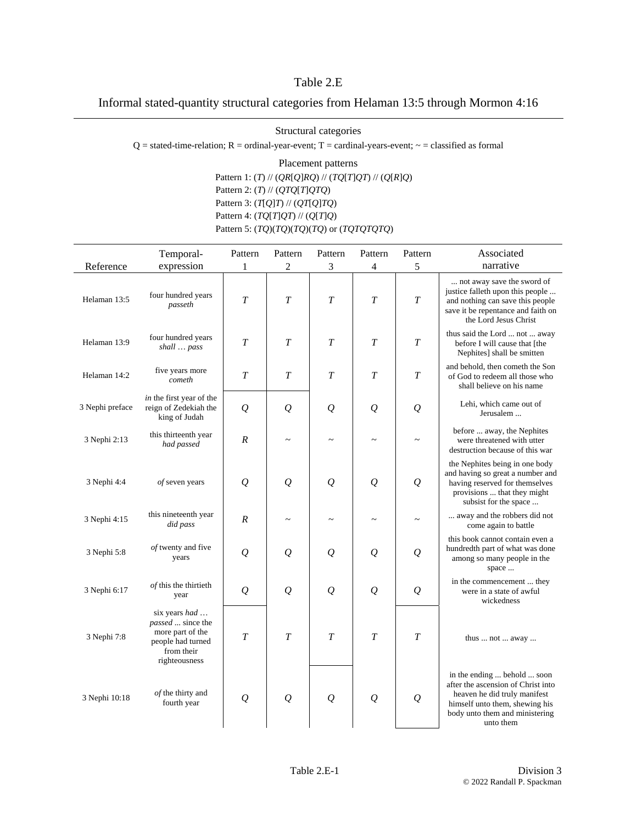## Table 2.E

Informal stated-quantity structural categories from Helaman 13:5 through Mormon 4:16

Structural categories

 $Q =$  stated-time-relation;  $R =$  ordinal-year-event;  $T =$  cardinal-years-event;  $\sim$  = classified as formal

Placement patterns Pattern 1: (*T*) // (*QR*[*Q*]*RQ*) // (*TQ*[*T*]*QT*) // (*Q*[*R*]*Q*) Pattern 2: (*T*) // (*QTQ*[*T*]*QTQ*) Pattern 3: (*T*[*Q*]*T*) // (*QT*[*Q*]*TQ*) Pattern 4: (*TQ*[*T*]*QT*) // (*Q*[*T*]*Q*) Pattern 5: (*TQ*)(*TQ*)(*TQ*)(*TQ*) or (*TQTQTQTQ*)

|                 | Temporal-                                                                                                  | Pattern          | Pattern              | Pattern              | Pattern              | Pattern               | Associated                                                                                                                                                                         |
|-----------------|------------------------------------------------------------------------------------------------------------|------------------|----------------------|----------------------|----------------------|-----------------------|------------------------------------------------------------------------------------------------------------------------------------------------------------------------------------|
| Reference       | expression                                                                                                 | 1                | 2                    | 3                    | $\overline{4}$       | 5                     | narrative                                                                                                                                                                          |
| Helaman 13:5    | four hundred years<br>passeth                                                                              | T                | T                    | $\overline{T}$       | $\overline{T}$       | $\overline{T}$        | not away save the sword of<br>justice falleth upon this people<br>and nothing can save this people<br>save it be repentance and faith on<br>the Lord Jesus Christ                  |
| Helaman 13:9    | four hundred years<br>shall  pass                                                                          | $\boldsymbol{T}$ | T                    | $\overline{T}$       | T                    | $\overline{T}$        | thus said the Lord  not  away<br>before I will cause that [the<br>Nephites] shall be smitten                                                                                       |
| Helaman 14:2    | five years more<br>cometh                                                                                  | T                | T                    | $\overline{T}$       | $\boldsymbol{T}$     | $\overline{T}$        | and behold, then cometh the Son<br>of God to redeem all those who<br>shall believe on his name                                                                                     |
| 3 Nephi preface | in the first year of the<br>reign of Zedekiah the<br>king of Judah                                         | $\mathcal{Q}$    | $\overline{\varrho}$ | $\overline{\varrho}$ | $\mathcal{Q}$        | $\mathcal{Q}$         | Lehi, which came out of<br>Jerusalem                                                                                                                                               |
| 3 Nephi 2:13    | this thirteenth year<br>had passed                                                                         | $\boldsymbol{R}$ |                      |                      |                      |                       | before  away, the Nephites<br>were threatened with utter<br>destruction because of this war                                                                                        |
| 3 Nephi 4:4     | of seven years                                                                                             | $\mathcal{Q}$    | $\overline{\varrho}$ | $\overline{\varrho}$ | $\overline{\varrho}$ | $\mathcal{Q}$         | the Nephites being in one body<br>and having so great a number and<br>having reserved for themselves<br>provisions  that they might<br>subsist for the space                       |
| 3 Nephi 4:15    | this nineteenth year<br>did pass                                                                           | $\boldsymbol{R}$ | $\sim$               | $\sim$               |                      | $\tilde{\phantom{0}}$ | away and the robbers did not<br>come again to battle                                                                                                                               |
| 3 Nephi 5:8     | of twenty and five<br>years                                                                                | $\mathcal{Q}$    | $\varrho$            | $\overline{\varrho}$ | $\varrho$            | $\mathcal{Q}$         | this book cannot contain even a<br>hundredth part of what was done<br>among so many people in the<br>space                                                                         |
| 3 Nephi 6:17    | of this the thirtieth<br>year                                                                              | $\mathcal{Q}$    | $\overline{Q}$       | $\overline{\varrho}$ | $\mathcal{Q}$        | $\mathcal{Q}$         | in the commencement  they<br>were in a state of awful<br>wickedness                                                                                                                |
| 3 Nephi 7:8     | six years had<br>passed  since the<br>more part of the<br>people had turned<br>from their<br>righteousness | T                | T                    | $\overline{T}$       | T                    | $\boldsymbol{T}$      | thus $\dots$ not $\dots$ away $\dots$                                                                                                                                              |
| 3 Nephi 10:18   | of the thirty and<br>fourth year                                                                           | $\mathcal{Q}$    | $\overline{Q}$       | $\overline{Q}$       | $\mathcal{Q}$        | $\mathcal{Q}$         | in the ending  behold  soon<br>after the ascension of Christ into<br>heaven he did truly manifest<br>himself unto them, shewing his<br>body unto them and ministering<br>unto them |